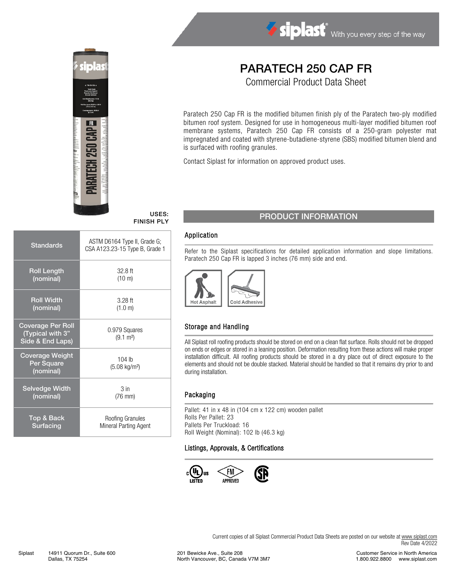



# PARATECH 250 CAP FR

Commercial Product Data Sheet

Paratech 250 Cap FR is the modified bitumen finish ply of the Paratech two-ply modified bitumen roof system. Designed for use in homogeneous multi-layer modified bitumen roof membrane systems, Paratech 250 Cap FR consists of a 250-gram polyester mat impregnated and coated with styrene-butadiene-styrene (SBS) modified bitumen blend and is surfaced with roofing granules.

Contact Siplast for information on approved product uses.

## FINISH PLY

| Standards                                                        | ASTM D6164 Type II, Grade G;<br>CSA A123.23-15 Type B, Grade 1 |
|------------------------------------------------------------------|----------------------------------------------------------------|
| <b>Roll Length</b>                                               | $32.8$ ft                                                      |
| (nominal)                                                        | $(10 \text{ m})$                                               |
| <b>Roll Width</b>                                                | $3.28$ ft                                                      |
| (nominal)                                                        | (1.0 m)                                                        |
| <b>Coverage Per Roll</b><br>(Typical with 3"<br>Side & End Laps) | 0.979 Squares<br>$(9.1 \text{ m}^2)$                           |
| <b>Coverage Weight</b><br>Per Square<br>(nominal)                | $104$ lb<br>$(5.08 \text{ kg/m}^2)$                            |
| <b>Selvedge Width</b>                                            | 3 <sub>in</sub>                                                |
| (nominal)                                                        | $(76$ mm $)$                                                   |
| Top & Back                                                       | Roofing Granules                                               |
| Surfacing                                                        | Mineral Parting Agent                                          |

## USES: PRODUCT INFORMATION

#### Application

Refer to the Siplast specifications for detailed application information and slope limitations. Paratech 250 Cap FR is lapped 3 inches (76 mm) side and end.



#### Storage and Handling

All Siplast roll roofing products should be stored on end on a clean flat surface. Rolls should not be dropped on ends or edges or stored in a leaning position. Deformation resulting from these actions will make proper installation difficult. All roofing products should be stored in a dry place out of direct exposure to the elements and should not be double stacked. Material should be handled so that it remains dry prior to and during installation.

#### Packaging

Pallet: 41 in x 48 in (104 cm x 122 cm) wooden pallet Rolls Per Pallet: 23 Pallets Per Truckload: 16 Roll Weight (Nominal): 102 lb (46.3 kg)

#### Listings, Approvals, & Certifications